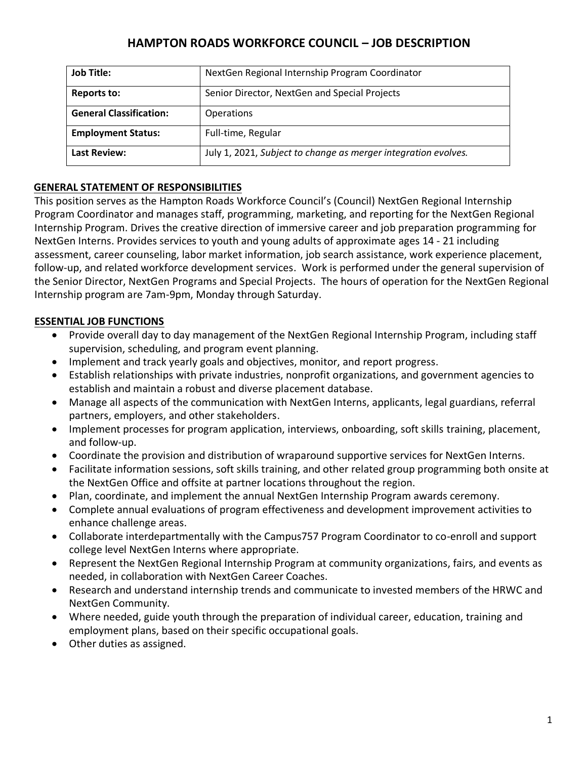# **HAMPTON ROADS WORKFORCE COUNCIL – JOB DESCRIPTION**

| <b>Job Title:</b>              | NextGen Regional Internship Program Coordinator                |
|--------------------------------|----------------------------------------------------------------|
| Reports to:                    | Senior Director, NextGen and Special Projects                  |
| <b>General Classification:</b> | Operations                                                     |
| <b>Employment Status:</b>      | Full-time, Regular                                             |
| <b>Last Review:</b>            | July 1, 2021, Subject to change as merger integration evolves. |

## **GENERAL STATEMENT OF RESPONSIBILITIES**

This position serves as the Hampton Roads Workforce Council's (Council) NextGen Regional Internship Program Coordinator and manages staff, programming, marketing, and reporting for the NextGen Regional Internship Program. Drives the creative direction of immersive career and job preparation programming for NextGen Interns. Provides services to youth and young adults of approximate ages 14 - 21 including assessment, career counseling, labor market information, job search assistance, work experience placement, follow-up, and related workforce development services. Work is performed under the general supervision of the Senior Director, NextGen Programs and Special Projects. The hours of operation for the NextGen Regional Internship program are 7am-9pm, Monday through Saturday.

# **ESSENTIAL JOB FUNCTIONS**

- Provide overall day to day management of the NextGen Regional Internship Program, including staff supervision, scheduling, and program event planning.
- Implement and track yearly goals and objectives, monitor, and report progress.
- Establish relationships with private industries, nonprofit organizations, and government agencies to establish and maintain a robust and diverse placement database.
- Manage all aspects of the communication with NextGen Interns, applicants, legal guardians, referral partners, employers, and other stakeholders.
- Implement processes for program application, interviews, onboarding, soft skills training, placement, and follow-up.
- Coordinate the provision and distribution of wraparound supportive services for NextGen Interns.
- Facilitate information sessions, soft skills training, and other related group programming both onsite at the NextGen Office and offsite at partner locations throughout the region.
- Plan, coordinate, and implement the annual NextGen Internship Program awards ceremony.
- Complete annual evaluations of program effectiveness and development improvement activities to enhance challenge areas.
- Collaborate interdepartmentally with the Campus757 Program Coordinator to co-enroll and support college level NextGen Interns where appropriate.
- Represent the NextGen Regional Internship Program at community organizations, fairs, and events as needed, in collaboration with NextGen Career Coaches.
- Research and understand internship trends and communicate to invested members of the HRWC and NextGen Community.
- Where needed, guide youth through the preparation of individual career, education, training and employment plans, based on their specific occupational goals.
- Other duties as assigned.